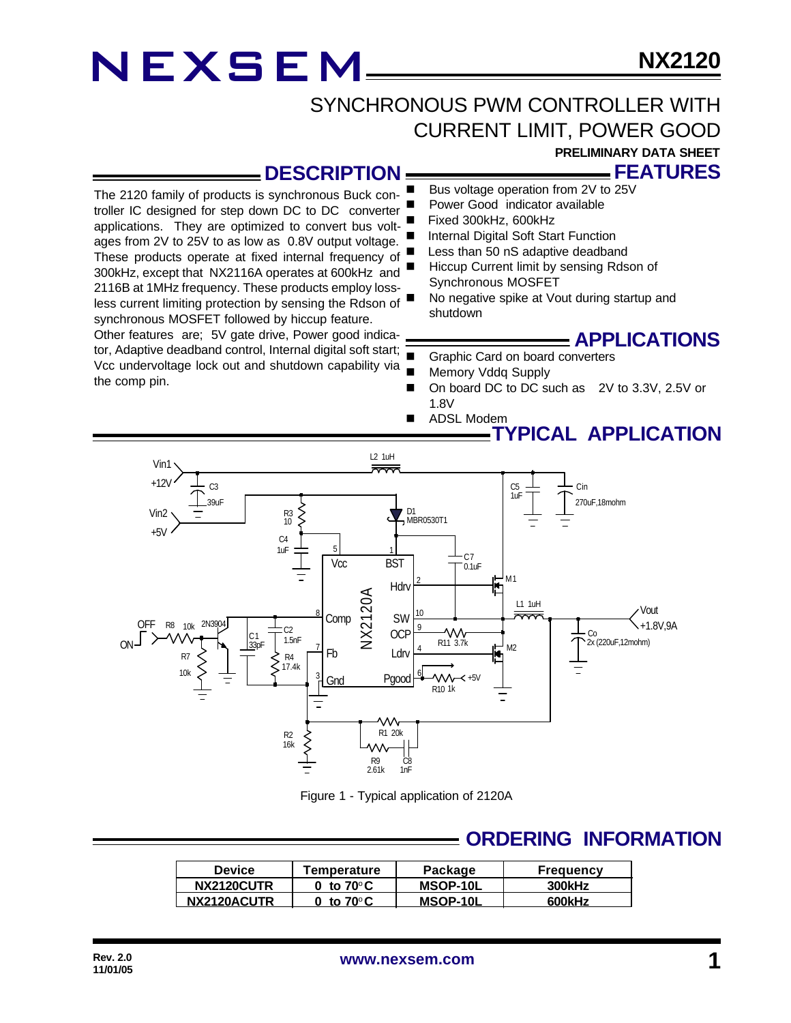### SYNCHRONOUS PWM CONTROLLER WITH CURRENT LIMIT, POWER GOOD

**PRELIMINARY DATA SHEET**

**FEATURES**

### **DESCRIPTION**

The 2120 family of products is synchronous Buck controller IC designed for step down DC to DC converter applications. They are optimized to convert bus voltages from 2V to 25V to as low as 0.8V output voltage. These products operate at fixed internal frequency of 300kHz, except that NX2116A operates at 600kHz and 2116B at 1MHz frequency. These products employ lossless current limiting protection by sensing the Rdson of synchronous MOSFET followed by hiccup feature. Other features are; 5V gate drive, Power good indicator, Adaptive deadband control, Internal digital soft start;

Vcc undervoltage lock out and shutdown capability via  $=$ the comp pin.

- Bus voltage operation from 2V to 25V
- Power Good indicator available
- Fixed 300kHz, 600kHz
- Internal Digital Soft Start Function
- Less than 50 nS adaptive deadband
- Hiccup Current limit by sensing Rdson of Synchronous MOSFET
- No negative spike at Vout during startup and shutdown

### **APPLICATIONS**

- Graphic Card on board converters
- Memory Vddq Supply
- On board DC to DC such as 2V to 3.3V, 2.5V or 1.8V
- ADSL Modem



Figure 1 - Typical application of 2120A

### **ORDERING INFORMATION**

| <b>Device</b> | Temperature         | Package  | <b>Frequency</b> |
|---------------|---------------------|----------|------------------|
| NX2120CUTR    | 0 to $70^{\circ}$ C | MSOP-10L | 300kHz           |
| NX2120ACUTR   | ີ to 70°C           | MSOP-10L | 600kHz           |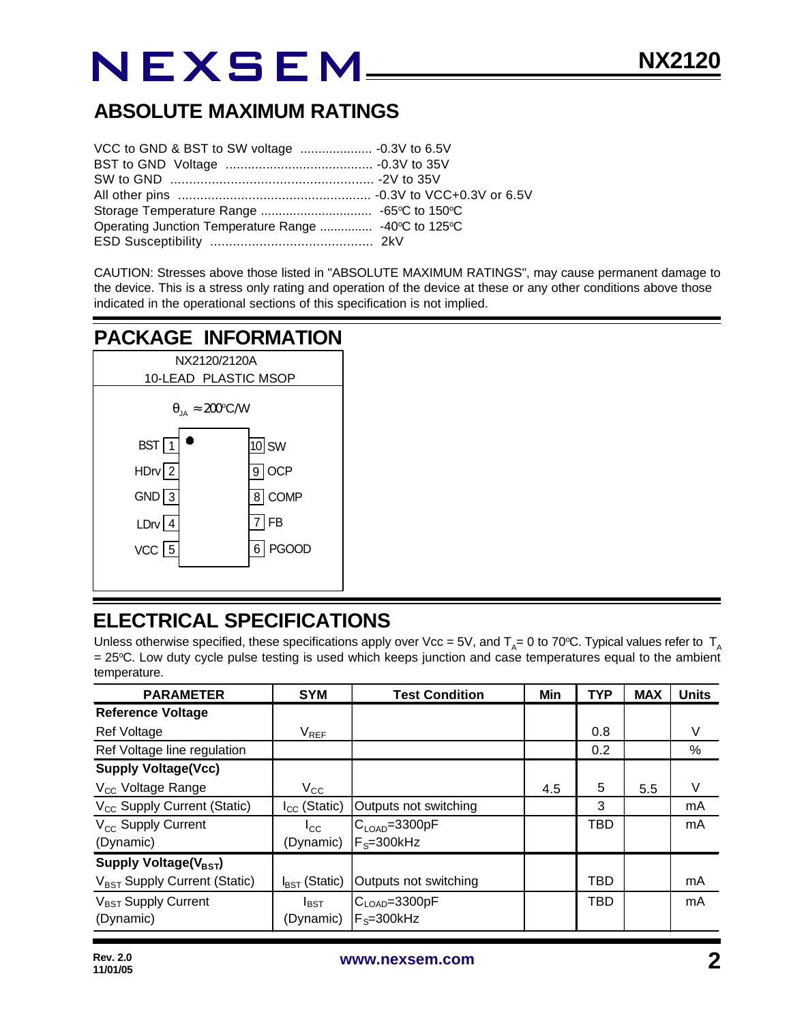### **ABSOLUTE MAXIMUM RATINGS**

| Operating Junction Temperature Range  -40°C to 125°C |  |
|------------------------------------------------------|--|
|                                                      |  |

CAUTION: Stresses above those listed in "ABSOLUTE MAXIMUM RATINGS", may cause permanent damage to the device. This is a stress only rating and operation of the device at these or any other conditions above those indicated in the operational sections of this specification is not implied.

### **PACKAGE INFORMATION**



### **ELECTRICAL SPECIFICATIONS**

Unless otherwise specified, these specifications apply over Vcc = 5V, and T<sub>A</sub>= 0 to 70°C. Typical values refer to T<sub>A</sub> = 25°C. Low duty cycle pulse testing is used which keeps junction and case temperatures equal to the ambient temperature.

| <b>PARAMETER</b>                         | <b>SYM</b>                | <b>Test Condition</b>      | Min | <b>TYP</b> | <b>MAX</b> | <b>Units</b> |
|------------------------------------------|---------------------------|----------------------------|-----|------------|------------|--------------|
| <b>Reference Voltage</b>                 |                           |                            |     |            |            |              |
| Ref Voltage                              | $V_{REF}$                 |                            |     | 0.8        |            | V            |
| Ref Voltage line regulation              |                           |                            |     | 0.2        |            | %            |
| <b>Supply Voltage(Vcc)</b>               |                           |                            |     |            |            |              |
| V <sub>cc</sub> Voltage Range            | $V_{\rm CC}$              |                            | 4.5 | 5          | 5.5        | V            |
| V <sub>CC</sub> Supply Current (Static)  | $I_{CC}$ (Static)         | Outputs not switching      |     | 3          |            | mA           |
| V <sub>cc</sub> Supply Current           | $I_{\rm CC}$              | $C_{\text{LOAD}} = 3300pF$ |     | <b>TBD</b> |            | mA           |
| (Dynamic)                                | (Dynamic)                 | $F_s = 300$ kHz            |     |            |            |              |
| Supply Voltage( $V_{\text{BST}}$ )       |                           |                            |     |            |            |              |
| V <sub>BST</sub> Supply Current (Static) | $I_{\text{RST}}$ (Static) | Outputs not switching      |     | TBD        |            | mA           |
| V <sub>BST</sub> Supply Current          | $I_{\text{BST}}$          | $C_{\text{LOAD}} = 3300pF$ |     | <b>TBD</b> |            | mA           |
| (Dynamic)                                | (Dynamic)                 | $F_s = 300$ kHz            |     |            |            |              |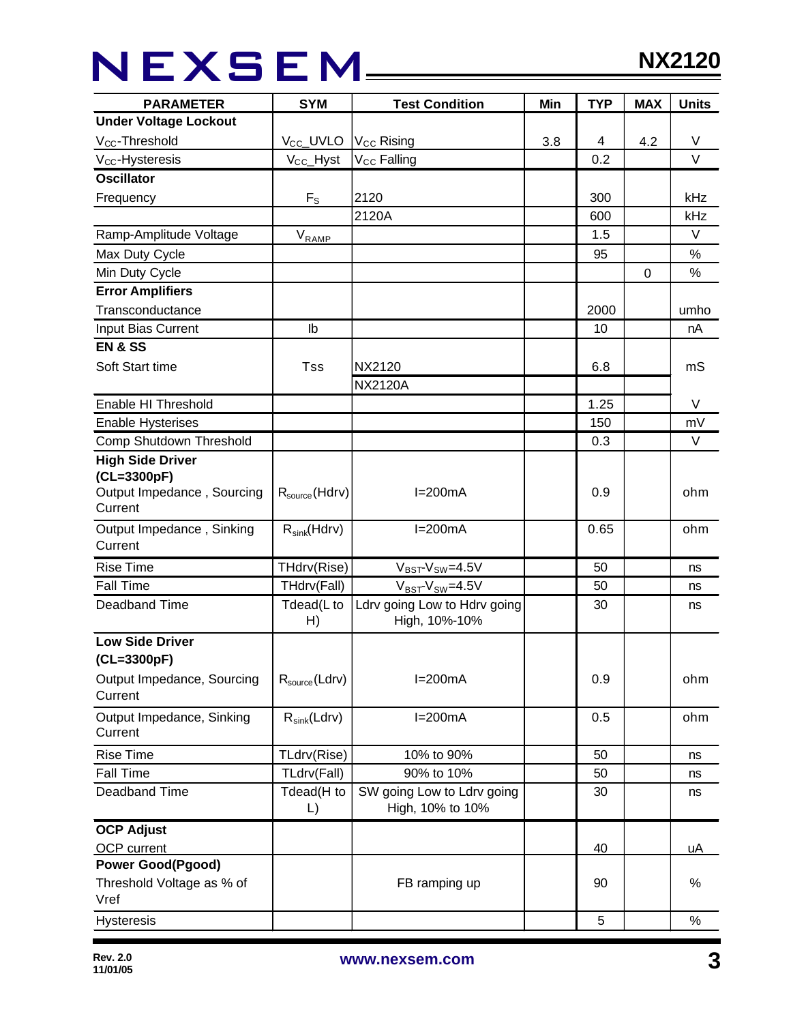## NEXSEM\_\_\_\_

| <b>PARAMETER</b>                     | <b>SYM</b>                 | <b>Test Condition</b>                          | Min | <b>TYP</b> | <b>MAX</b> | <b>Units</b> |
|--------------------------------------|----------------------------|------------------------------------------------|-----|------------|------------|--------------|
| <b>Under Voltage Lockout</b>         |                            |                                                |     |            |            |              |
| V <sub>CC</sub> -Threshold           | V <sub>CC</sub> _UVLO      | V <sub>CC</sub> Rising                         | 3.8 | 4          | 4.2        | V            |
| $V_{CC}$ -Hysteresis                 | $V_{CC}$ Hyst              | V <sub>CC</sub> Falling                        |     | 0.2        |            | $\vee$       |
| <b>Oscillator</b>                    |                            |                                                |     |            |            |              |
| Frequency                            | $F_{S}$                    | 2120                                           |     | 300        |            | <b>kHz</b>   |
|                                      |                            | 2120A                                          |     | 600        |            | kHz          |
| Ramp-Amplitude Voltage               | $V_{R\underline{AMP}}$     |                                                |     | 1.5        |            | $\vee$       |
| Max Duty Cycle                       |                            |                                                |     | 95         |            | $\%$         |
| Min Duty Cycle                       |                            |                                                |     |            | 0          | $\%$         |
| <b>Error Amplifiers</b>              |                            |                                                |     |            |            |              |
| Transconductance                     |                            |                                                |     | 2000       |            | umho         |
| Input Bias Current                   | lb                         |                                                |     | 10         |            | nA           |
| <b>EN &amp; SS</b>                   |                            |                                                |     |            |            |              |
| Soft Start time                      | Tss                        | <b>NX2120</b>                                  |     | 6.8        |            | mS           |
|                                      |                            | <b>NX2120A</b>                                 |     |            |            |              |
| Enable HI Threshold                  |                            |                                                |     | 1.25       |            | V            |
| <b>Enable Hysterises</b>             |                            |                                                |     | 150        |            | mV           |
| Comp Shutdown Threshold              |                            |                                                |     | 0.3        |            | V            |
| <b>High Side Driver</b>              |                            |                                                |     |            |            |              |
| (CL=3300pF)                          |                            |                                                |     |            |            |              |
| Output Impedance, Sourcing           | $R_{\text{source}}(Hdrv)$  | $I=200mA$                                      |     | 0.9        |            | ohm          |
| Current                              |                            |                                                |     |            |            |              |
| Output Impedance, Sinking<br>Current | $R_{sink}(Hdrv)$           | $I=200mA$                                      |     | 0.65       |            | ohm          |
|                                      |                            |                                                |     |            |            |              |
| <b>Rise Time</b>                     | THdrv(Rise)                | $V_{BST}$ - $V_{SW}$ =4.5V                     |     | 50         |            | ns           |
| <b>Fall Time</b>                     | THdrv(Fall)                | $V_{BST}$ - $V_{SW}$ =4.5V                     |     | 50         |            | ns           |
| Deadband Time                        | Tdead(L to<br>H)           | Ldrv going Low to Hdrv going<br>High, 10%-10%  |     | 30         |            | ns           |
| <b>Low Side Driver</b>               |                            |                                                |     |            |            |              |
| (CL=3300pF)                          |                            |                                                |     |            |            |              |
| Output Impedance, Sourcing           | $R_{source}$ (Ldrv)        | $I=200mA$                                      |     | 0.9        |            | ohm          |
| Current                              |                            |                                                |     |            |            |              |
| Output Impedance, Sinking            | $R_{sink}(Ldrv)$           | $I=200mA$                                      |     | 0.5        |            | ohm          |
| Current                              |                            |                                                |     |            |            |              |
| <b>Rise Time</b>                     | TLdrv(Rise)                | 10% to 90%                                     |     | 50         |            | ns           |
| <b>Fall Time</b>                     | TLdrv(Fall)                | 90% to 10%                                     |     | 50         |            | ns           |
| Deadband Time                        | Tdead(H to<br>$\mathsf{L}$ | SW going Low to Ldrv going<br>High, 10% to 10% |     | 30         |            | ns           |
| <b>OCP Adjust</b>                    |                            |                                                |     |            |            |              |
| OCP current                          |                            |                                                |     | 40         |            | uA           |
| <b>Power Good(Pgood)</b>             |                            |                                                |     |            |            |              |
| Threshold Voltage as % of            |                            | FB ramping up                                  |     | 90         |            | %            |
| Vref                                 |                            |                                                |     |            |            |              |
| <b>Hysteresis</b>                    |                            |                                                |     | 5          |            | $\%$         |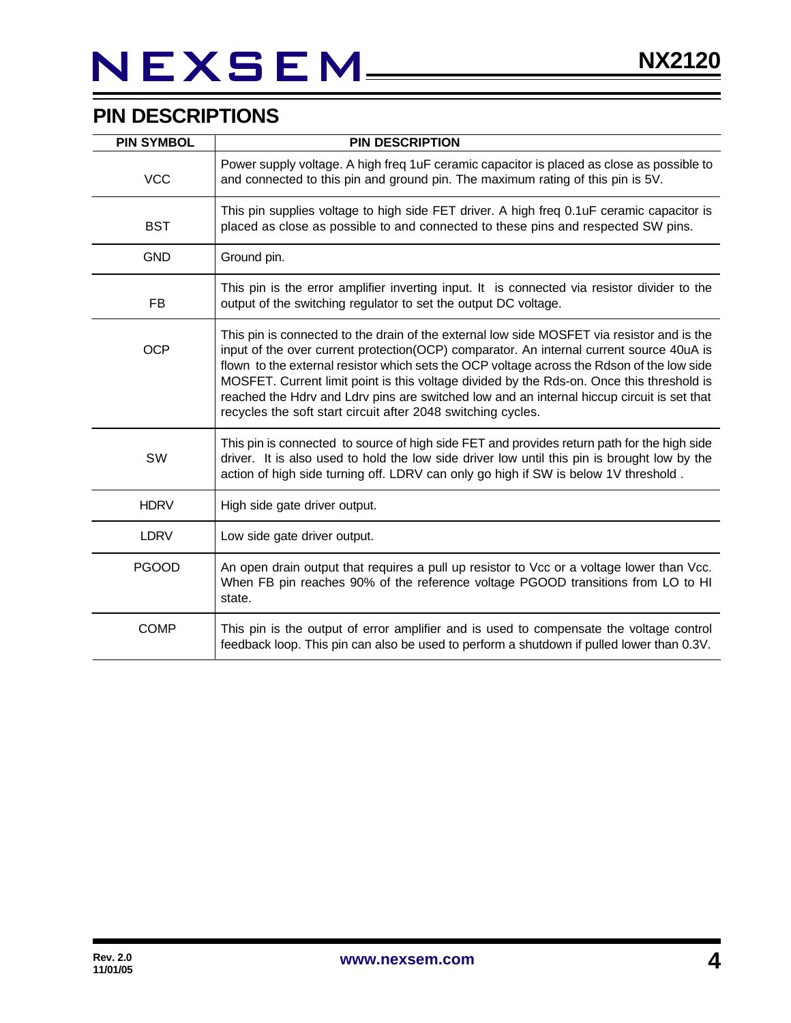### **PIN DESCRIPTIONS**

| <b>PIN SYMBOL</b> | <b>PIN DESCRIPTION</b>                                                                                                                                                                                                                                                                                                                                                                                                                                                                                                                          |
|-------------------|-------------------------------------------------------------------------------------------------------------------------------------------------------------------------------------------------------------------------------------------------------------------------------------------------------------------------------------------------------------------------------------------------------------------------------------------------------------------------------------------------------------------------------------------------|
| <b>VCC</b>        | Power supply voltage. A high freq 1uF ceramic capacitor is placed as close as possible to<br>and connected to this pin and ground pin. The maximum rating of this pin is 5V.                                                                                                                                                                                                                                                                                                                                                                    |
| <b>BST</b>        | This pin supplies voltage to high side FET driver. A high freq 0.1uF ceramic capacitor is<br>placed as close as possible to and connected to these pins and respected SW pins.                                                                                                                                                                                                                                                                                                                                                                  |
| <b>GND</b>        | Ground pin.                                                                                                                                                                                                                                                                                                                                                                                                                                                                                                                                     |
| FB                | This pin is the error amplifier inverting input. It is connected via resistor divider to the<br>output of the switching regulator to set the output DC voltage.                                                                                                                                                                                                                                                                                                                                                                                 |
| <b>OCP</b>        | This pin is connected to the drain of the external low side MOSFET via resistor and is the<br>input of the over current protection(OCP) comparator. An internal current source 40uA is<br>flown to the external resistor which sets the OCP voltage across the Rdson of the low side<br>MOSFET. Current limit point is this voltage divided by the Rds-on. Once this threshold is<br>reached the Hdrv and Ldrv pins are switched low and an internal hiccup circuit is set that<br>recycles the soft start circuit after 2048 switching cycles. |
| SW                | This pin is connected to source of high side FET and provides return path for the high side<br>driver. It is also used to hold the low side driver low until this pin is brought low by the<br>action of high side turning off. LDRV can only go high if SW is below 1V threshold.                                                                                                                                                                                                                                                              |
| <b>HDRV</b>       | High side gate driver output.                                                                                                                                                                                                                                                                                                                                                                                                                                                                                                                   |
| <b>LDRV</b>       | Low side gate driver output.                                                                                                                                                                                                                                                                                                                                                                                                                                                                                                                    |
| <b>PGOOD</b>      | An open drain output that requires a pull up resistor to Vcc or a voltage lower than Vcc.<br>When FB pin reaches 90% of the reference voltage PGOOD transitions from LO to HI<br>state.                                                                                                                                                                                                                                                                                                                                                         |
| <b>COMP</b>       | This pin is the output of error amplifier and is used to compensate the voltage control<br>feedback loop. This pin can also be used to perform a shutdown if pulled lower than 0.3V.                                                                                                                                                                                                                                                                                                                                                            |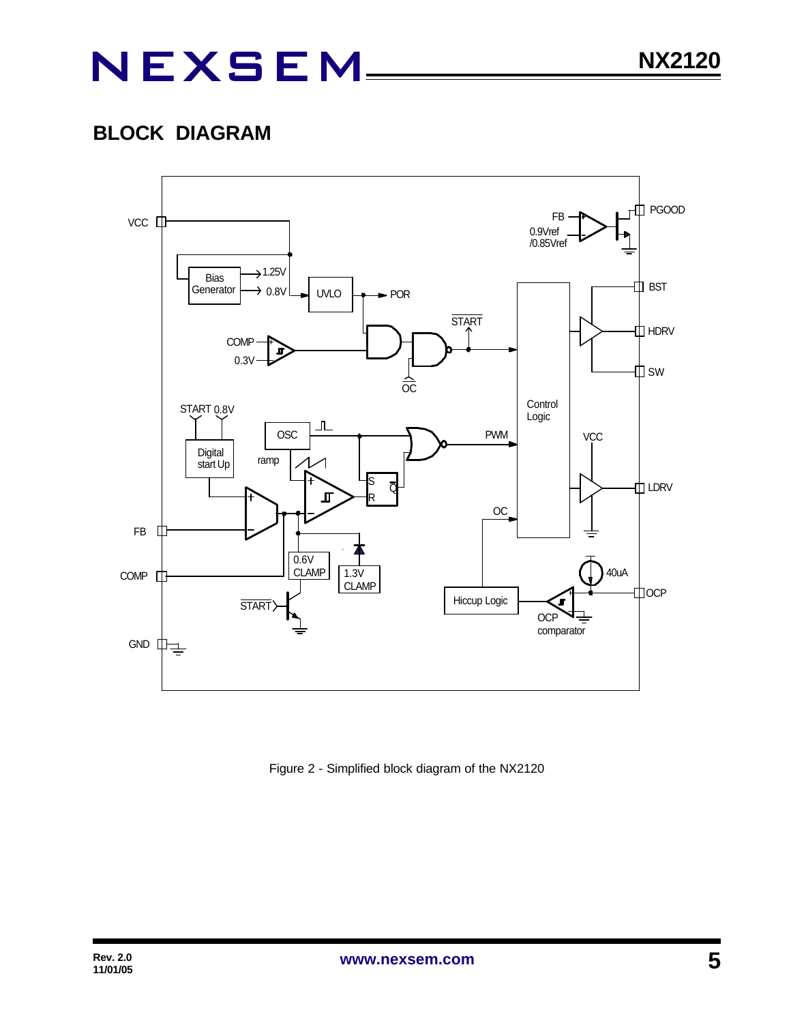### **BLOCK DIAGRAM**



Figure 2 - Simplified block diagram of the NX2120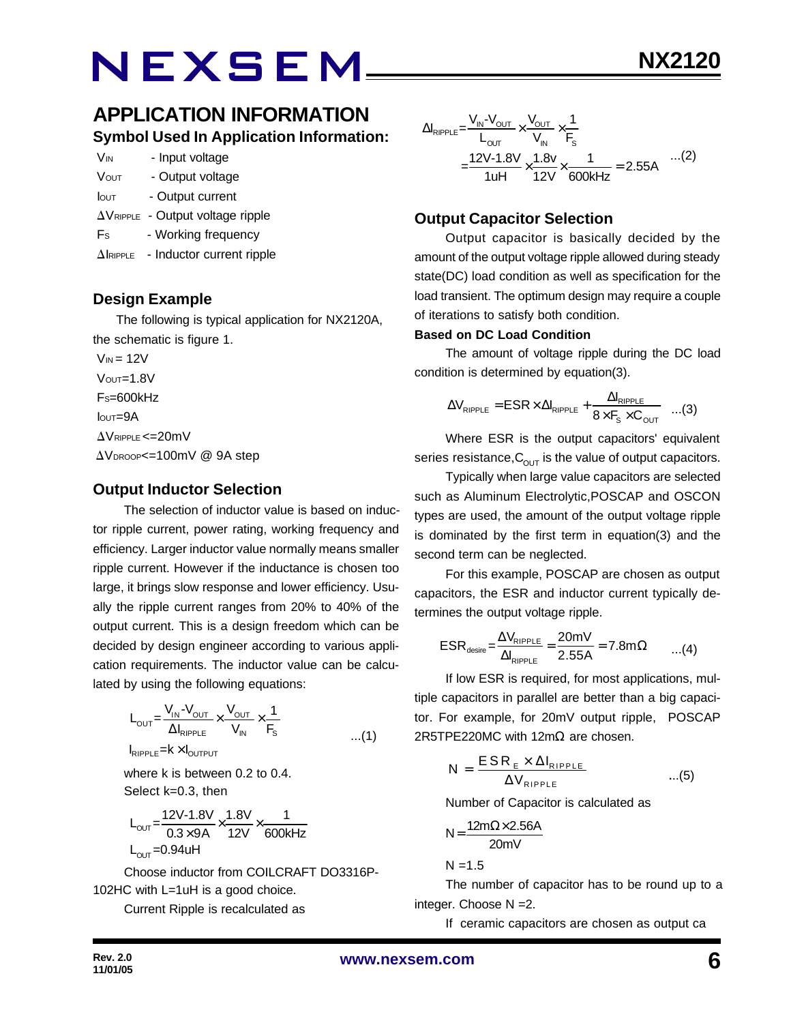### **APPLICATION INFORMATION Symbol Used In Application Information:**

| V <sub>IN</sub> | - Input voltage  |
|-----------------|------------------|
| <b>VOUT</b>     | - Output voltage |

- Iout Output current
- $\Delta V_{\text{RIPPLE}}$  Output voltage ripple
- Fs Working frequency
- $\Delta$ IRIPPLE Inductor current ripple

#### **Design Example**

 The following is typical application for NX2120A, the schematic is figure 1.

 $V_{IN}$  = 12V  $V$ OUT= $1.8V$  FS=600kHz  $I$ <sub>OUT</sub>=9A  $\Delta V$ RIPPLE <= 20mV  $\Delta V_{\text{DROOP}} = 100$ mV @ 9A step

#### **Output Inductor Selection**

The selection of inductor value is based on inductor ripple current, power rating, working frequency and efficiency. Larger inductor value normally means smaller ripple current. However if the inductance is chosen too large, it brings slow response and lower efficiency. Usually the ripple current ranges from 20% to 40% of the output current. This is a design freedom which can be decided by design engineer according to various application requirements. The inductor value can be calculated by using the following equations:

$$
L_{\text{OUT}} = \frac{V_{\text{IN}} - V_{\text{OUT}}}{\Delta I_{\text{RIPPLE}}} \times \frac{V_{\text{OUT}}}{V_{\text{IN}}} \times \frac{1}{F_s}
$$
  

$$
I_{\text{RIPPLE}} = k \times I_{\text{OUTPUT}}
$$

where k is between 0.2 to 0.4. Select k=0.3, then

$$
L_{\text{OUT}} = \frac{12V - 1.8V}{0.3 \times 9A} \times \frac{1.8V}{12V} \times \frac{1}{600kHz}
$$
  
L<sub>OUT</sub> = 0.94uH

Choose inductor from COILCRAFT DO3316P-102HC with L=1uH is a good choice.

Current Ripple is recalculated as

$$
\Delta I_{\text{RIPPLE}} = \frac{V_{\text{IN}} - V_{\text{OUT}}}{L_{\text{OUT}}} \times \frac{V_{\text{OUT}}}{V_{\text{IN}}} \times \frac{1}{F_s}
$$
  
= 
$$
\frac{12V - 1.8V}{1uH} \times \frac{1.8v}{12V} \times \frac{1}{600kHz} = 2.55A
$$
...(2)

#### **Output Capacitor Selection**

Output capacitor is basically decided by the amount of the output voltage ripple allowed during steady state(DC) load condition as well as specification for the load transient. The optimum design may require a couple of iterations to satisfy both condition.

#### **Based on DC Load Condition**

The amount of voltage ripple during the DC load condition is determined by equation(3).

$$
\Delta V_{\text{RIPPLE}} = ESR \times \Delta I_{\text{RIPPLE}} + \frac{\Delta I_{\text{RIPPLE}}}{8 \times F_s \times C_{\text{OUT}}} \quad ...(3)
$$

Where ESR is the output capacitors' equivalent series resistance,  $C_{\text{OUT}}$  is the value of output capacitors.

Typically when large value capacitors are selected such as Aluminum Electrolytic,POSCAP and OSCON types are used, the amount of the output voltage ripple is dominated by the first term in equation(3) and the second term can be neglected.

For this example, POSCAP are chosen as output capacitors, the ESR and inductor current typically determines the output voltage ripple.

$$
ESR_{\text{desire}} = \frac{\Delta V_{\text{RIPPLE}}}{\Delta I_{\text{RIPPLE}}} = \frac{20 \text{mV}}{2.55 \text{A}} = 7.8 \text{m}\Omega \qquad ...(4)
$$

If low ESR is required, for most applications, multiple capacitors in parallel are better than a big capacitor. For example, for 20mV output ripple, POSCAP 2R5TPE220MC with 12mΩ are chosen.

$$
N = \frac{ESR_{E} \times \Delta I_{RIPPLE}}{\Delta V_{RIPPLE}} \qquad ...(5)
$$

Number of Capacitor is calculated as

$$
N = \frac{12m\Omega \times 2.56A}{20mV}
$$

 $N = 1.5$ 

The number of capacitor has to be round up to a integer. Choose N =2.

If ceramic capacitors are chosen as output ca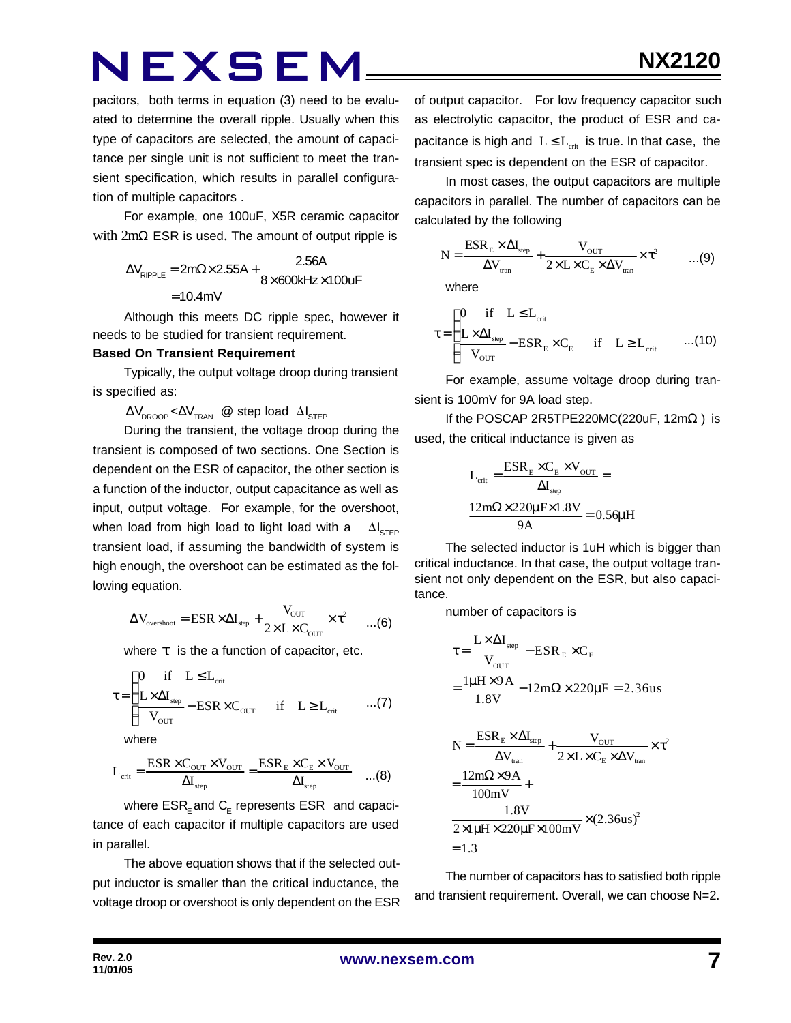pacitors, both terms in equation (3) need to be evaluated to determine the overall ripple. Usually when this type of capacitors are selected, the amount of capacitance per single unit is not sufficient to meet the transient specification, which results in parallel configuration of multiple capacitors .

For example, one 100uF, X5R ceramic capacitor with 2mΩ ESR is used. The amount of output ripple is

$$
\Delta V_{\text{RIPPLE}} = 2m\Omega \times 2.55A + \frac{2.56A}{8 \times 600kHz \times 100uF}
$$

$$
= 10.4mV
$$

Although this meets DC ripple spec, however it needs to be studied for transient requirement.

#### **Based On Transient Requirement**

Typically, the output voltage droop during transient is specified as:

 $\Delta V_{\text{DROOP}} \ll \Delta V_{\text{TRAN}}$  @ step load  $\Delta I_{\text{STEP}}$ 

During the transient, the voltage droop during the transient is composed of two sections. One Section is dependent on the ESR of capacitor, the other section is a function of the inductor, output capacitance as well as input, output voltage. For example, for the overshoot, when load from high load to light load with a  $\Delta I_{\text{cr}}$ transient load, if assuming the bandwidth of system is high enough, the overshoot can be estimated as the following equation.

$$
\Delta V_{\text{overshoot}} = ESR \times \Delta I_{\text{step}} + \frac{V_{\text{OUT}}}{2 \times L \times C_{\text{OUT}}} \times \tau^2 \qquad ... (6)
$$

where *t* is the a function of capacitor, etc.

$$
\tau = \begin{cases}\n0 & \text{if} \quad L \leq L_{\text{crit}} \\
\frac{L \times \Delta I_{\text{sep}}}{V_{\text{OUT}}} - \text{ESR} \times C_{\text{OUT}} & \text{if} \quad L \geq L_{\text{crit}} \quad \text{...(7)}\n\end{cases}
$$

where

$$
L_{\text{crit}} = \frac{ESR \times C_{\text{OUT}} \times V_{\text{OUT}}}{\Delta I_{\text{step}}} = \frac{ESR_{\text{E}} \times C_{\text{E}} \times V_{\text{OUT}}}{\Delta I_{\text{step}}} \quad \dots (8)
$$

where  $\mathsf{ESR}_\mathsf{E}$  and  $\mathsf{C}_\mathsf{E}$  represents  $\mathsf{ESR}\;$  and capacitance of each capacitor if multiple capacitors are used in parallel.

The above equation shows that if the selected output inductor is smaller than the critical inductance, the voltage droop or overshoot is only dependent on the ESR of output capacitor. For low frequency capacitor such as electrolytic capacitor, the product of ESR and capacitance is high and  $L \le L_{crit}$  is true. In that case, the transient spec is dependent on the ESR of capacitor.

In most cases, the output capacitors are multiple capacitors in parallel. The number of capacitors can be calculated by the following

$$
N = \frac{ESR_{E} \times \Delta I_{step}}{\Delta V_{tran}} + \frac{V_{OUT}}{2 \times L \times C_{E} \times \Delta V_{tran}} \times \tau^{2}
$$
 ...(9)

where

$$
\tau = \begin{cases}\n0 & \text{if} \quad L \leq L_{\text{crit}} \\
\frac{L \times \Delta I_{\text{step}}}{V_{\text{OUT}}} - \text{ESR}_{E} \times C_{E} & \text{if} \quad L \geq L_{\text{crit}} \quad \dots (10)\n\end{cases}
$$

For example, assume voltage droop during transient is 100mV for 9A load step.

If the POSCAP 2R5TPE220MC(220uF,  $12m\Omega$ ) is used, the critical inductance is given as

$$
L_{crit} = \frac{ESR_{E} \times C_{E} \times V_{OUT}}{\Delta I_{step}} =
$$

$$
\frac{12m\Omega \times 220 \mu F \times 1.8 V}{9A} = 0.56 \mu H
$$

The selected inductor is 1uH which is bigger than critical inductance. In that case, the output voltage transient not only dependent on the ESR, but also capacitance.

number of capacitors is

$$
\tau = \frac{L \times \Delta I_{\text{step}}}{V_{\text{OUT}}} - ESR_{E} \times C_{E}
$$

$$
= \frac{l\mu H \times 9A}{1.8V} - 12m\Omega \times 220\mu F = 2.36us
$$

$$
N = \frac{ESR_{E} \times \Delta I_{step}}{\Delta V_{tran}} + \frac{V_{OUT}}{2 \times L \times C_{E} \times \Delta V_{tran}} \times \tau^{2}
$$

$$
= \frac{12m\Omega \times 9A}{100mV} + \frac{1.8V}{2 \times 1 \mu H \times 220 \mu F \times 100mV} \times (2.36us)^{2}
$$

$$
= 1.3
$$

The number of capacitors has to satisfied both ripple and transient requirement. Overall, we can choose N=2.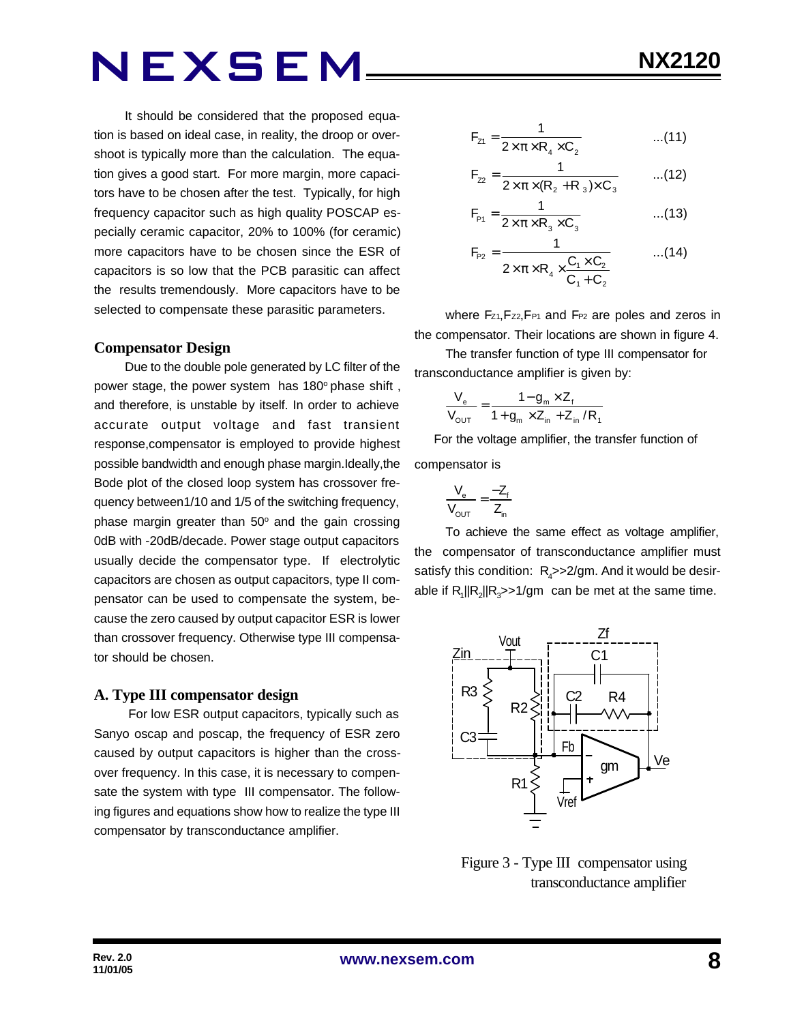It should be considered that the proposed equation is based on ideal case, in reality, the droop or overshoot is typically more than the calculation. The equation gives a good start. For more margin, more capacitors have to be chosen after the test. Typically, for high frequency capacitor such as high quality POSCAP especially ceramic capacitor, 20% to 100% (for ceramic) more capacitors have to be chosen since the ESR of capacitors is so low that the PCB parasitic can affect the results tremendously. More capacitors have to be selected to compensate these parasitic parameters.

#### **Compensator Design**

Due to the double pole generated by LC filter of the power stage, the power system has 180° phase shift, and therefore, is unstable by itself. In order to achieve accurate output voltage and fast transient response,compensator is employed to provide highest possible bandwidth and enough phase margin.Ideally,the Bode plot of the closed loop system has crossover frequency between1/10 and 1/5 of the switching frequency, phase margin greater than  $50^{\circ}$  and the gain crossing 0dB with -20dB/decade. Power stage output capacitors usually decide the compensator type. If electrolytic capacitors are chosen as output capacitors, type II compensator can be used to compensate the system, because the zero caused by output capacitor ESR is lower than crossover frequency. Otherwise type III compensator should be chosen.

#### **A. Type III compensator design**

 For low ESR output capacitors, typically such as Sanyo oscap and poscap, the frequency of ESR zero caused by output capacitors is higher than the crossover frequency. In this case, it is necessary to compensate the system with type III compensator. The following figures and equations show how to realize the type III compensator by transconductance amplifier.

$$
NX2120
$$

$$
F_{z1} = \frac{1}{2 \times \pi \times R_4 \times C_2}
$$
...(11)

$$
F_{22} = \frac{1}{2 \times \pi \times (R_2 + R_3) \times C_3}
$$
...(12)

$$
F_{\rm{P1}} = \frac{1}{2 \times \pi \times R_3 \times C_3}
$$
...(13)

$$
F_{P2} = \frac{1}{2 \times \pi \times R_4 \times \frac{C_1 \times C_2}{C_1 + C_2}}
$$
...(14)

where Fz<sub>1</sub>, Fz<sub>2</sub>, F<sub>P1</sub> and F<sub>P2</sub> are poles and zeros in the compensator. Their locations are shown in figure 4.

The transfer function of type III compensator for transconductance amplifier is given by:

$$
\frac{V_{e}}{V_{\text{OUT}}} = \frac{1 - g_{m} \times Z_{f}}{1 + g_{m} \times Z_{in} + Z_{in} / R_{f}}
$$

 For the voltage amplifier, the transfer function of compensator is

$$
\frac{V_e}{V_{OUT}} = \frac{-Z_f}{Z_{in}}
$$

To achieve the same effect as voltage amplifier, the compensator of transconductance amplifier must satisfy this condition:  $R_{\mathcal{A}}$ >>2/gm. And it would be desirable if  $R_1$ || $R_2$ || $R_3$ >>1/gm can be met at the same time.



 Figure 3 - Type III compensator using transconductance amplifier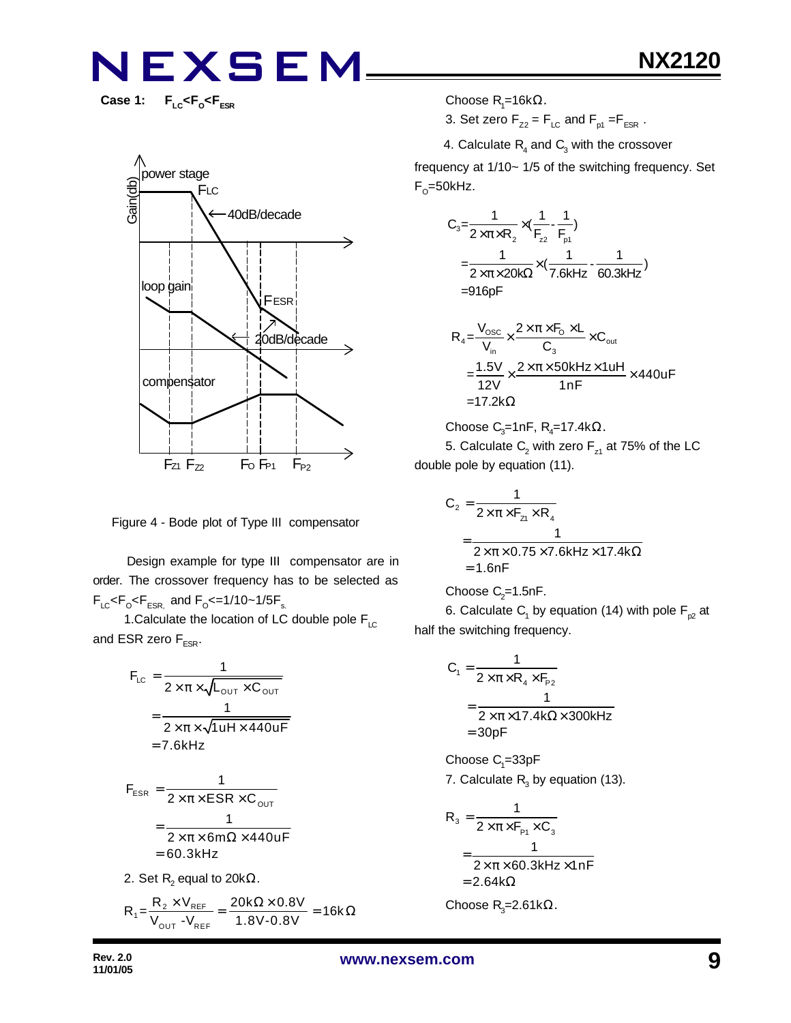Case 1: F<sub>LC</sub><F<sub>o</sub><F<sub>ESR</sub>



Figure 4 - Bode plot of Type III compensator

 Design example for type III compensator are in order. The crossover frequency has to be selected as  $F_{LC}$ < $F_{\rm o}$ < $F_{ESR,}$  and  $F_{\rm o}$ <=1/10~1/5 $F_{\rm s.}$ 

1. Calculate the location of LC double pole  $F_{\text{LC}}$ and ESR zero  $F_{ESR}$ .

$$
F_{LC} = \frac{1}{2 \times \pi \times \sqrt{L_{OUT} \times C_{OUT}}}
$$

$$
= \frac{1}{2 \times \pi \times \sqrt{1 uH \times 440 uF}}
$$

$$
= 7.6kHz
$$

$$
F_{ESR} = \frac{1}{2 \times \pi \times ESR \times C_{OUT}}
$$

$$
= \frac{1}{2 \times \pi \times 6m\Omega \times 440uF}
$$

$$
= 60.3kHz
$$

2. Set  $\mathsf{R}_{\mathsf{2}}$  equal to 20k $\Omega.$ 

$$
R_1 = \frac{R_2 \times V_{REF}}{V_{OUT} - V_{REF}} = \frac{20k\Omega \times 0.8V}{1.8V - 0.8V} = 16k\Omega
$$

Choose R<sub>1</sub>=16kΩ.

3. Set zero  $F_{Z2} = F_{LC}$  and  $F_{p1} = F_{ESR}$ .

4. Calculate  $R_4$  and  $C_3$  with the crossover

frequency at 1/10~ 1/5 of the switching frequency. Set F<sub>o</sub>=50kHz.

$$
C_3 = \frac{1}{2 \times \pi \times R_2} \times (\frac{1}{F_{z2}} - \frac{1}{F_{p1}})
$$
  
=  $\frac{1}{2 \times \pi \times 20k\Omega} \times (\frac{1}{7.6kHz} - \frac{1}{60.3kHz})$   
= 916pF

$$
R_{4} = \frac{V_{\text{osc}}}{V_{\text{in}}} \times \frac{2 \times \pi \times F_{\text{O}} \times L}{C_{3}} \times C_{\text{out}}
$$
  
= 
$$
\frac{1.5V}{12V} \times \frac{2 \times \pi \times 50kHz \times 1uH}{1nF} \times 440uF
$$
  
= 17.2k $\Omega$ 

Choose C<sub>3</sub>=1nF, R<sub>4</sub>=17.4k
$$
\Omega
$$
.

5. Calculate  $\mathsf{C}_2$  with zero  $\mathsf{F}_{\mathsf{z}1}$  at 75% of the LC double pole by equation (11).

$$
C_2 = \frac{1}{2 \times \pi \times F_{z1} \times R_4}
$$
  
= 
$$
\frac{1}{2 \times \pi \times 0.75 \times 7.6 \text{kHz} \times 17.4 \text{k}\Omega}
$$
  
= 1.6nF

Choose 
$$
C_2=1.5nF
$$
.

6. Calculate  $\mathsf{C}_\mathsf{1}$  by equation (14) with pole  $\mathsf{F}_{\mathsf{p2}}$  at half the switching frequency.

$$
C_1 = \frac{1}{2 \times \pi \times R_4 \times F_{p_2}}
$$
  
= 
$$
\frac{1}{2 \times \pi \times 17.4 \times \Omega \times 300 \times Hz}
$$
  
= 30pF

 $\rm Choose$   $\rm C_{\rm 1}$ =33pF 7. Calculate  $R_3$  by equation (13).

$$
R_3 = \frac{1}{2 \times \pi \times F_{P1} \times C_3}
$$
  
= 
$$
\frac{1}{2 \times \pi \times 60.3 \text{kHz} \times 1 \text{nF}}
$$
  
= 2.64k $\Omega$ 

Choose R<sub>3</sub>=2.61kΩ.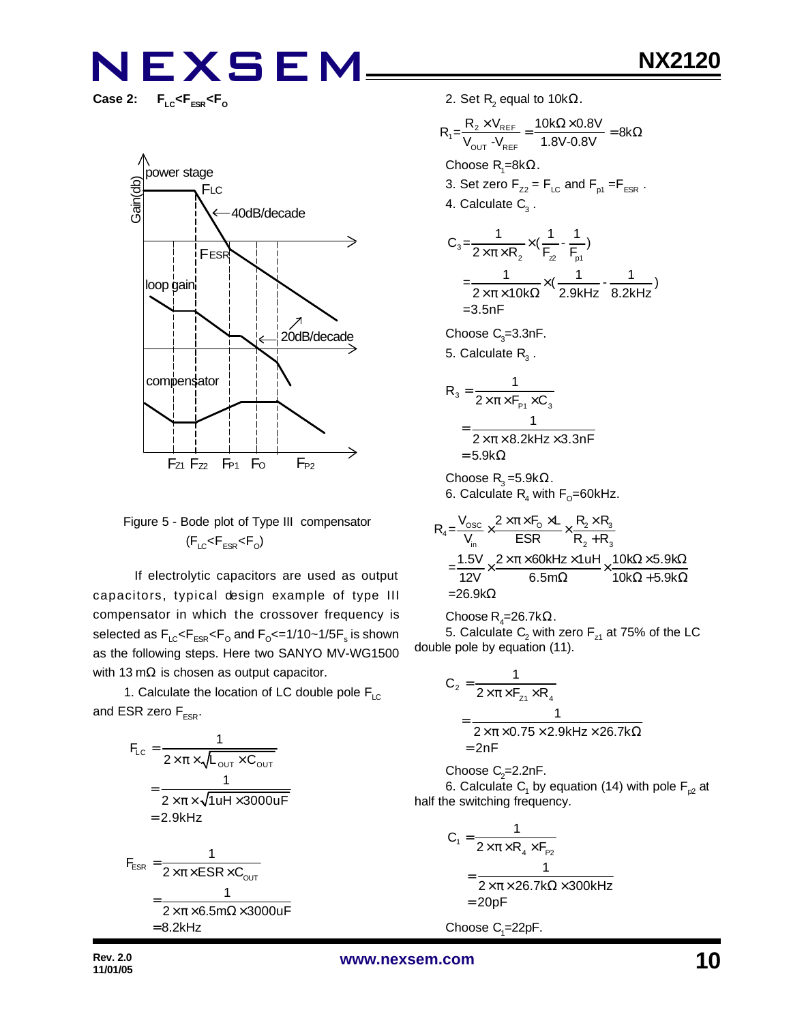$F_{LC}$ < $F_{ESR}$ < $F_{O}$ 



#### Figure 5 - Bode plot of Type III compensator  $(F_{LC}$ < $F_{ESR}$ < $F_{O}$ )

 If electrolytic capacitors are used as output capacitors, typical design example of type III compensator in which the crossover frequency is selected as  $\mathsf{F}_{\text{\tiny{LC}}} \!\!\mathopen{\leq} \!\mathsf{F}_{\text{\tiny{ESR}}} \!\!\mathopen{\leq} \!\mathsf{F}_{\text{\tiny{O}}}$  and  $\mathsf{F}_{\text{\tiny{O}}} \!\!\mathopen{\leq} \!=\! 1/10 \!\!\mathclose{\sim} \!1/\!5 \mathsf{F}_{\text{\tiny{S}}}$  is shown as the following steps. Here two SANYO MV-WG1500 with 13 m $\Omega$  is chosen as output capacitor.

1. Calculate the location of LC double pole  $F_{LC}$ and ESR zero  $F_{FSR}$ .

$$
F_{LC} = \frac{1}{2 \times \pi \times \sqrt{L_{OUT} \times C_{OUT}}}
$$
  
= 
$$
\frac{1}{2 \times \pi \times \sqrt{1 uH \times 3000 uF}}
$$
  
= 2.9kHz  

$$
F_{ESR} = \frac{1}{2 \times \pi \times ESR \times C_{OUT}}
$$
  
= 
$$
\frac{1}{2 \times \pi \times 6.5 m\Omega \times 3000 uF}
$$
  
= 8.2kHz

2. Set  $\mathsf{R}_{\mathsf{2}}$  equal to 10k $\Omega$ .

$$
R_1 = \frac{R_2 \times V_{REF}}{V_{OUT} - V_{REF}} = \frac{10k\Omega \times 0.8V}{1.8V - 0.8V} = 8k\Omega
$$
  
Choose R<sub>1</sub>=8k $\Omega$ .  
3. Set zero F<sub>zz</sub> = F<sub>LC</sub> and F<sub>pt</sub> =F<sub>ESR</sub>.  
4. Calculate C<sub>3</sub>.

$$
C_3 = \frac{1}{2 \times \pi \times R_2} \times (\frac{1}{F_2} - \frac{1}{F_{p1}})
$$
  
=  $\frac{1}{2 \times \pi \times 10k\Omega} \times (\frac{1}{2.9kHz} - \frac{1}{8.2kHz})$   
= 3.5nF

Choose  $C_{3}$ =3.3nF.

5. Calculate  $\mathsf{R}_{\mathsf{3}}$  .

$$
R_3 = \frac{1}{2 \times \pi \times F_{P1} \times C_3}
$$
  
= 
$$
\frac{1}{2 \times \pi \times 8.2 \text{kHz} \times 3.3 \text{nF}}
$$
  
= 5.9kΩ

Choose  $\mathsf{R}_{3}$ =5.9k $\Omega$ . 6. Calculate  $\mathsf{R}_{\mathsf{4}}$  with  $\mathsf{F}_{\mathsf{O}}\!\!=\!\!60$ kHz.

$$
R_4 = \frac{V_{\text{osc}}}{V_{\text{in}}} \times \frac{2 \times \pi \times F_0 \times L}{ESR} \times \frac{R_2 \times R_3}{R_2 + R_3}
$$
  
= 
$$
\frac{1.5V}{12V} \times \frac{2 \times \pi \times 60kHz \times 1uH}{6.5m\Omega} \times \frac{10k\Omega \times 5.9k\Omega}{10k\Omega + 5.9k\Omega}
$$
  
= 26.9k\Omega

Choose R<sub>4</sub>=26.7k $\Omega$ . 5. Calculate  $\mathsf{C}_2$  with zero  $\mathsf{F}_{\mathsf{z}1}$  at 75% of the LC double pole by equation (11).

$$
C_2 = \frac{1}{2 \times \pi \times F_{z1} \times R_4}
$$
  
= 
$$
\frac{1}{2 \times \pi \times 0.75 \times 2.9 \text{kHz} \times 26.7 \text{k}\Omega}
$$
  
= 2nF

Choose  $C_2$ =2.2nF. 6. Calculate  $\mathsf{C}_\mathsf{1}$  by equation (14) with pole  $\mathsf{F}_{\mathsf{p2}}$  at half the switching frequency.

$$
C_1 = \frac{1}{2 \times \pi \times R_4 \times F_{p_2}}
$$
  
= 
$$
\frac{1}{2 \times \pi \times 26.7 k\Omega \times 300kHz}
$$
  
= 20pF

Choose  $C_1 = 22pF$ .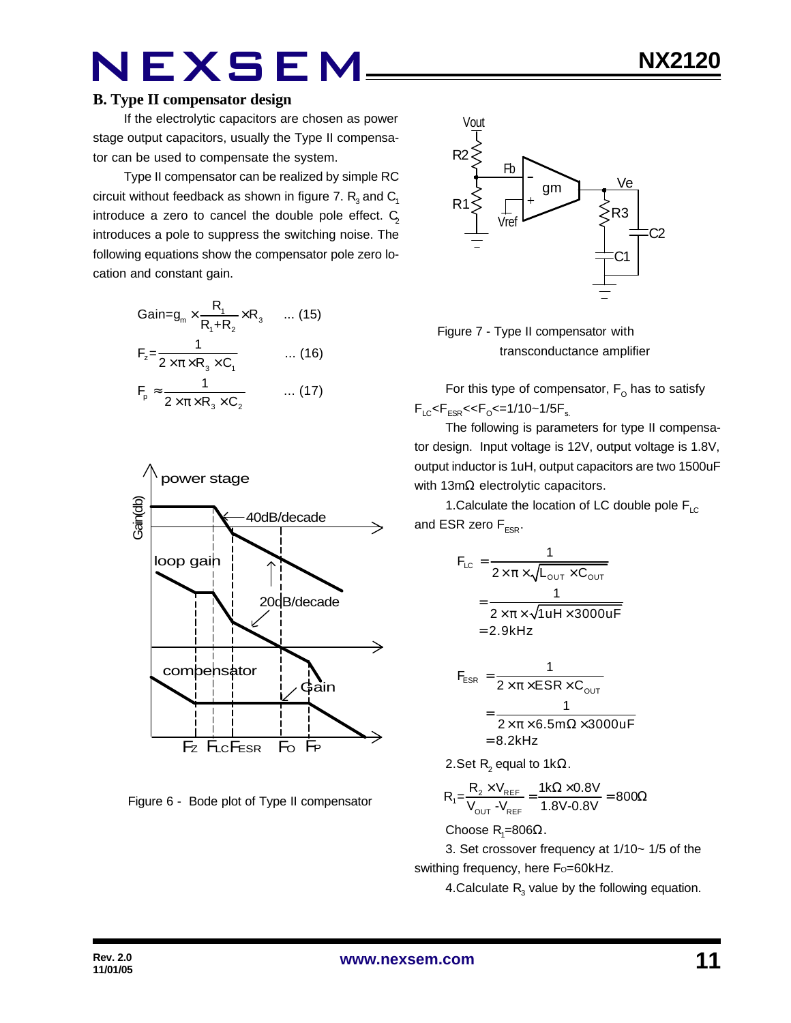#### **B. Type II compensator design**

If the electrolytic capacitors are chosen as power stage output capacitors, usually the Type II compensator can be used to compensate the system.

Type II compensator can be realized by simple RC circuit without feedback as shown in figure 7.  $\mathsf{R}_{_{\mathrm{3}}}$  and  $\mathsf{C}_{_{\mathrm{1}}}$ introduce a zero to cancel the double pole effect.  $C_2$ introduces a pole to suppress the switching noise. The following equations show the compensator pole zero location and constant gain.

$$
Gain = g_m \times \frac{R_1}{R_1 + R_2} \times R_3 \qquad \dots (15)
$$
  
\n
$$
F_z = \frac{1}{2 \times \pi \times R_3 \times C_1} \qquad \dots (16)
$$
  
\n
$$
F_p \approx \frac{1}{2 \times \pi \times R_3 \times C_2} \qquad \dots (17)
$$



Figure 6 - Bode plot of Type II compensator



 Figure 7 - Type II compensator with transconductance amplifier

For this type of compensator,  $\mathsf{F}_\mathsf{O}$  has to satisfy  $F_{LC}$ < $F_{ESR}$ << $F_{O}$ <=1/10~1/5 $F_{s.}$ 

The following is parameters for type II compensator design. Input voltage is 12V, output voltage is 1.8V, output inductor is 1uH, output capacitors are two 1500uF with 13mΩ electrolytic capacitors.

1. Calculate the location of LC double pole  $F_{\text{LC}}$ and ESR zero  $F_{ESR}$ .

$$
F_{LC} = \frac{1}{2 \times \pi \times \sqrt{L_{OUT} \times C_{OUT}}}
$$

$$
= \frac{1}{2 \times \pi \times \sqrt{1 uH \times 3000 uF}}
$$

$$
= 2.9kHz
$$

$$
F_{ESR} = \frac{1}{2 \times \pi \times ESR \times C_{OUT}}
$$
  
= 
$$
\frac{1}{2 \times \pi \times 6.5 \text{m}\Omega \times 3000 \text{uF}}
$$
  
= 8.2kHz

2.Set R<sub>2</sub> equal to 1kΩ.

$$
R_{1} = \frac{R_{2} \times V_{REF}}{V_{OUT} - V_{REF}} = \frac{1 k \Omega \times 0.8 V}{1.8 V - 0.8 V} = 800 \Omega
$$

Choose R<sub>1</sub>=806Ω.

3. Set crossover frequency at 1/10~ 1/5 of the swithing frequency, here Fo=60kHz.

4.Calculate  $R_{3}$  value by the following equation.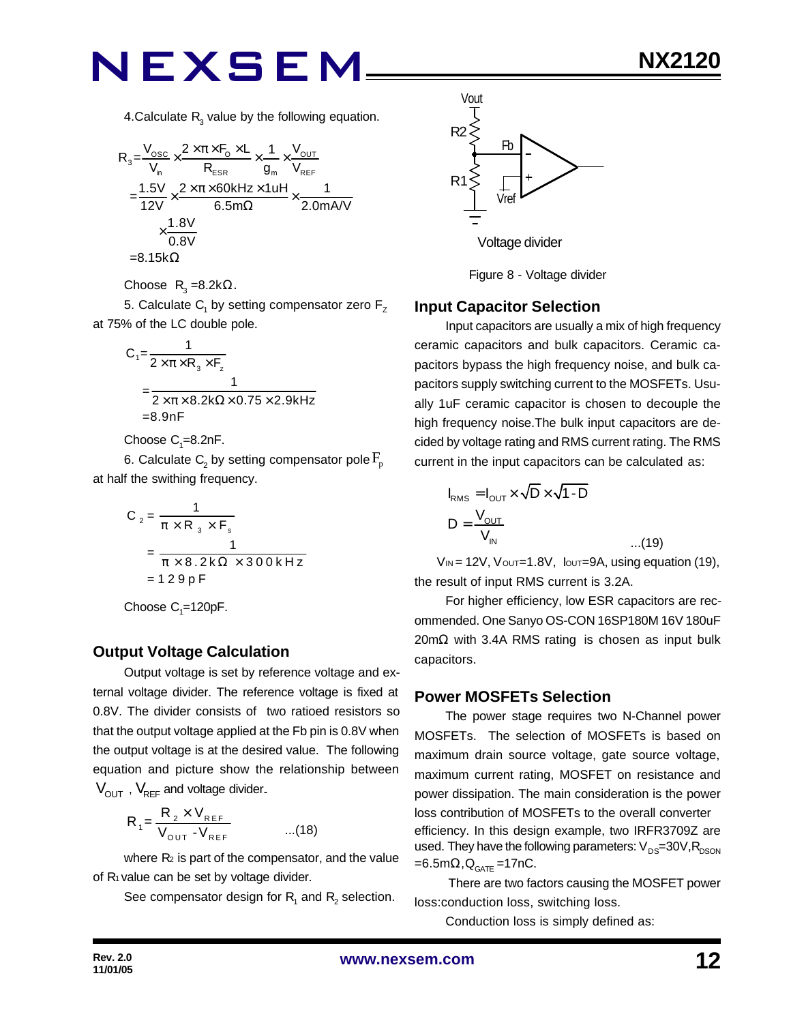4.Calculate  $R_{3}$  value by the following equation.

$$
R_{3} = \frac{V_{\text{osc}}}{V_{\text{n}}} \times \frac{2 \times \pi \times F_{\text{o}} \times L}{R_{\text{ESR}}} \times \frac{1}{g_{\text{m}}} \times \frac{V_{\text{OUT}}}{V_{\text{REF}}}
$$

$$
= \frac{1.5V}{12V} \times \frac{2 \times \pi \times 60kHz \times 1uH}{6.5m\Omega} \times \frac{1}{2.0mAV}
$$

$$
\times \frac{1.8V}{0.8V}
$$

$$
= 8.15k\Omega
$$

Choose  $R_3 = 8.2k\Omega$ .

5. Calculate  $\mathsf{C}_\mathsf{1}$  by setting compensator zero  $\mathsf{F}_\mathsf{Z}$ at 75% of the LC double pole.

$$
C_1 = \frac{1}{2 \times \pi \times R_3 \times F_2}
$$
  
= 
$$
\frac{1}{2 \times \pi \times 8.2 \times \Omega \times 0.75 \times 2.9 \times Hz}
$$
  
=8.9nF

Choose  $C_{1}$ =8.2nF.

6. Calculate  $\mathsf{C}_\text{2}$  by setting compensator pole  $\mathrm{F}_{\text{p}}$ at half the swithing frequency.

$$
C_2 = \frac{1}{\pi \times R_3 \times F_s}
$$
  
= 
$$
\frac{1}{\pi \times 8.2 \times 2 \times 300 \times Hz}
$$
  
= 129pF

Choose  $C_1 = 120pF$ .

#### **Output Voltage Calculation**

Output voltage is set by reference voltage and external voltage divider. The reference voltage is fixed at 0.8V. The divider consists of two ratioed resistors so that the output voltage applied at the Fb pin is 0.8V when the output voltage is at the desired value. The following equation and picture show the relationship between  $V_{\text{OUT}}$ ,  $V_{\text{REF}}$  and voltage divider.

$$
R_{1} = \frac{R_{2} \times V_{REF}}{V_{OUT} - V_{REF}} \qquad ...(18)
$$

where  $R_2$  is part of the compensator, and the value of R<sub>1</sub> value can be set by voltage divider.

See compensator design for  $\mathsf{R}_{\mathsf{1}}$  and  $\mathsf{R}_{\mathsf{2}}$  selection.



Figure 8 - Voltage divider

#### **Input Capacitor Selection**

Input capacitors are usually a mix of high frequency ceramic capacitors and bulk capacitors. Ceramic capacitors bypass the high frequency noise, and bulk capacitors supply switching current to the MOSFETs. Usually 1uF ceramic capacitor is chosen to decouple the high frequency noise.The bulk input capacitors are decided by voltage rating and RMS current rating. The RMS current in the input capacitors can be calculated as:

$$
I_{RMS} = I_{OUT} \times \sqrt{D} \times \sqrt{1 - D}
$$
  

$$
D = \frac{V_{OUT}}{V_{IN}}
$$
...(19)

 $V_{\text{IN}}$  = 12V,  $V_{\text{OUT}}$  = 1.8V,  $V_{\text{OUT}}$  = 9A, using equation (19), the result of input RMS current is 3.2A.

For higher efficiency, low ESR capacitors are recommended. One Sanyo OS-CON 16SP180M 16V 180uF 20mΩ with 3.4A RMS rating is chosen as input bulk capacitors.

#### **Power MOSFETs Selection**

The power stage requires two N-Channel power MOSFETs. The selection of MOSFETs is based on maximum drain source voltage, gate source voltage, maximum current rating, MOSFET on resistance and power dissipation. The main consideration is the power loss contribution of MOSFETs to the overall converter efficiency. In this design example, two IRFR3709Z are used. They have the following parameters:  $V_{DS}=30V, R_{DSON}$  $=6.5$ m $\Omega$ , $Q_{GATE}$ =17nC.

 There are two factors causing the MOSFET power loss:conduction loss, switching loss.

Conduction loss is simply defined as: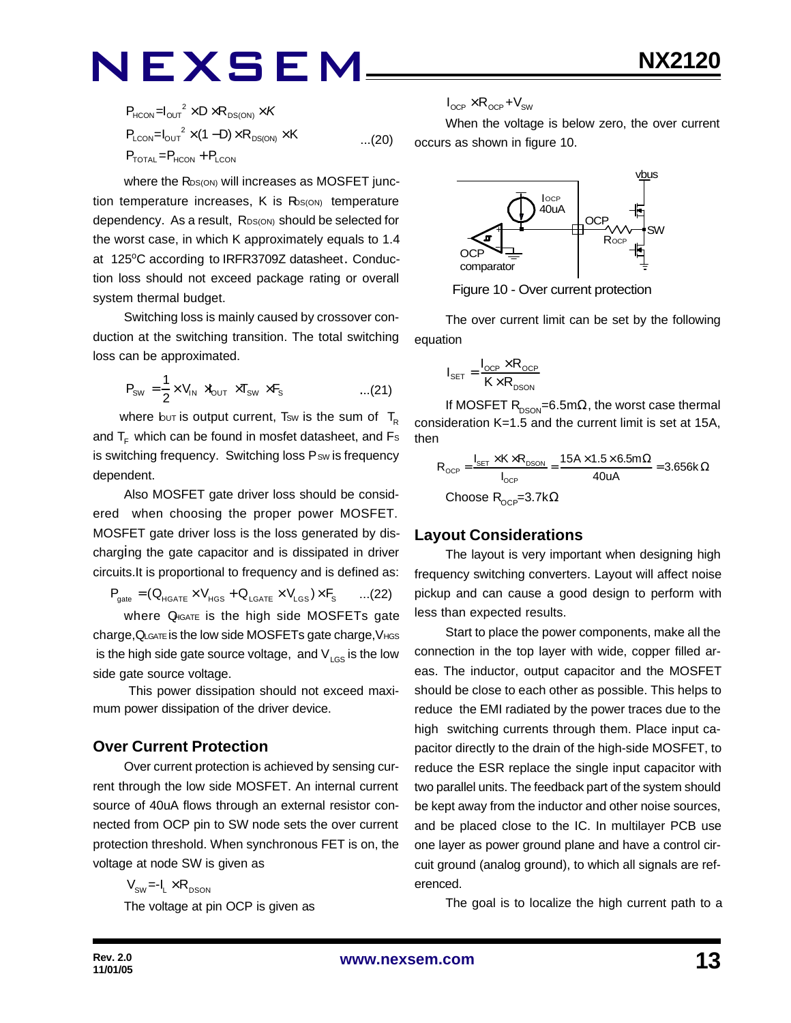$$
P_{HCON} = I_{OUT}^2 \times D \times R_{DS(ON)} \times K
$$
  
\n
$$
P_{LCDN} = I_{OUT}^2 \times (1 - D) \times R_{DS(ON)} \times K
$$
...(20)  
\n
$$
P_{TOTAL} = P_{HCON} + P_{LCDN}
$$

where the R<sub>DS(ON)</sub> will increases as MOSFET junction temperature increases,  $K$  is  $R_{\text{DS(ON)}}$  temperature dependency. As a result, RDS(ON) should be selected for the worst case, in which K approximately equals to 1.4 at 125°C according to IRFR3709Z datasheet. Conduction loss should not exceed package rating or overall system thermal budget.

Switching loss is mainly caused by crossover conduction at the switching transition. The total switching loss can be approximated.

$$
P_{\text{SW}} = \frac{1}{2} \times V_{\text{IN}} \times V_{\text{OUT}} \times T_{\text{SW}} \times F_{\text{S}} \quad \text{....(21)}
$$

where but is output current, Tsw is the sum of  $T_R$ and  $T_F$  which can be found in mosfet datasheet, and Fs is switching frequency. Switching loss Psw is frequency dependent.

Also MOSFET gate driver loss should be considered when choosing the proper power MOSFET. MOSFET gate driver loss is the loss generated by discharging the gate capacitor and is dissipated in driver circuits.It is proportional to frequency and is defined as:

 $P_{\text{gate}} = (Q_{\text{HGATE}} \times V_{\text{HGS}} + Q_{\text{LGATE}} \times V_{\text{LGS}}) \times F_{\text{S}}$  ...(22)

where Q<sub>IGATE</sub> is the high side MOSFETs gate charge,QLGATE is the low side MOSFETs gate charge,VHGS is the high side gate source voltage, and  $V_{LSS}$  is the low side gate source voltage.

 This power dissipation should not exceed maximum power dissipation of the driver device.

#### **Over Current Protection**

Over current protection is achieved by sensing current through the low side MOSFET. An internal current source of 40uA flows through an external resistor connected from OCP pin to SW node sets the over current protection threshold. When synchronous FET is on, the voltage at node SW is given as

$$
V_{\text{sw}} = -I_{L} \times R_{\text{DSON}}
$$
 The voltage at pin OCP is given as

$$
I_{\text{OCP}} \times R_{\text{OCP}} + V_{\text{SW}}
$$

When the voltage is below zero, the over current occurs as shown in figure 10.



Figure 10 - Over current protection

The over current limit can be set by the following equation

$$
I_{\text{SET}} = \frac{I_{\text{OCP}} \times R_{\text{OCP}}}{K \times R_{\text{DSON}}}
$$

If MOSFET R<sub>DSON</sub>=6.5m $\Omega$ , the worst case thermal consideration K=1.5 and the current limit is set at 15A, then

$$
R_{_{OCP}} = \frac{I_{_{SET}} \times K \times R_{_{DSON}}}{I_{_{OCP}}} = \frac{15A \times 1.5 \times 6.5m\Omega}{40uA} = 3.656k\Omega
$$
  
Choose R<sub>\_{OCP}</sub>=3.7k $\Omega$ 

#### **Layout Considerations**

The layout is very important when designing high frequency switching converters. Layout will affect noise pickup and can cause a good design to perform with less than expected results.

Start to place the power components, make all the connection in the top layer with wide, copper filled areas. The inductor, output capacitor and the MOSFET should be close to each other as possible. This helps to reduce the EMI radiated by the power traces due to the high switching currents through them. Place input capacitor directly to the drain of the high-side MOSFET, to reduce the ESR replace the single input capacitor with two parallel units. The feedback part of the system should be kept away from the inductor and other noise sources, and be placed close to the IC. In multilayer PCB use one layer as power ground plane and have a control circuit ground (analog ground), to which all signals are referenced.

The goal is to localize the high current path to a